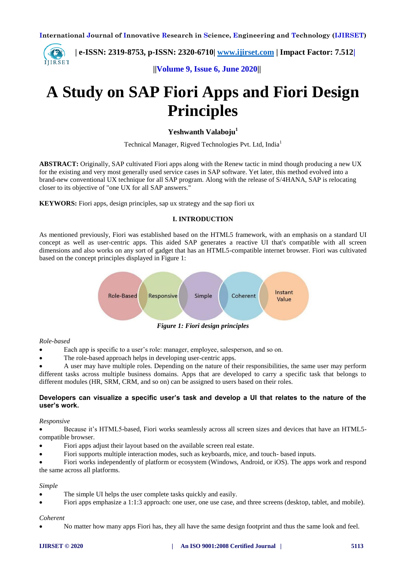**| e-ISSN: 2319-8753, p-ISSN: 2320-6710| [www.ijirset.com](http://www.ijirset.com/) | Impact Factor: 7.512|** IJIRSET

 **||Volume 9, Issue 6, June 2020||** 

# **A Study on SAP Fiori Apps and Fiori Design Principles**

**Yeshwanth Valaboju<sup>1</sup>**

Technical Manager, Rigved Technologies Pvt. Ltd, India<sup>1</sup>

**ABSTRACT:** Originally, SAP cultivated Fiori apps along with the Renew tactic in mind though producing a new UX for the existing and very most generally used service cases in SAP software. Yet later, this method evolved into a brand-new conventional UX technique for all SAP program. Along with the release of S/4HANA, SAP is relocating closer to its objective of "one UX for all SAP answers."

**KEYWORS:** Fiori apps, design principles, sap ux strategy and the sap fiori ux

#### **I. INTRODUCTION**

As mentioned previously, Fiori was established based on the HTML5 framework, with an emphasis on a standard UI concept as well as user-centric apps. This aided SAP generates a reactive UI that's compatible with all screen dimensions and also works on any sort of gadget that has an HTML5-compatible internet browser. Fiori was cultivated based on the concept principles displayed in Figure 1:



#### *Role-based*

Each app is specific to a user's role: manager, employee, salesperson, and so on.

The role-based approach helps in developing user-centric apps.

 A user may have multiple roles. Depending on the nature of their responsibilities, the same user may perform different tasks across multiple business domains. Apps that are developed to carry a specific task that belongs to different modules (HR, SRM, CRM, and so on) can be assigned to users based on their roles.

## **Developers can visualize a specific user's task and develop a UI that relates to the nature of the user's work.**

#### *Responsive*

 Because it's HTML5-based, Fiori works seamlessly across all screen sizes and devices that have an HTML5 compatible browser.

- Fiori apps adjust their layout based on the available screen real estate.
- Fiori supports multiple interaction modes, such as keyboards, mice, and touch- based inputs.

 Fiori works independently of platform or ecosystem (Windows, Android, or iOS). The apps work and respond the same across all platforms.

#### *Simple*

- The simple UI helps the user complete tasks quickly and easily.
- Fiori apps emphasize a 1:1:3 approach: one user, one use case, and three screens (desktop, tablet, and mobile).

## *Coherent*

No matter how many apps Fiori has, they all have the same design footprint and thus the same look and feel.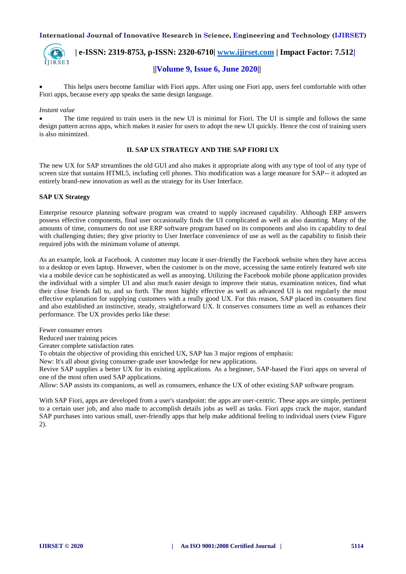

 **| e-ISSN: 2319-8753, p-ISSN: 2320-6710| [www.ijirset.com](http://www.ijirset.com/) | Impact Factor: 7.512|**

# **||Volume 9, Issue 6, June 2020||**

 This helps users become familiar with Fiori apps. After using one Fiori app, users feel comfortable with other Fiori apps, because every app speaks the same design language.

#### *Instant value*

 The time required to train users in the new UI is minimal for Fiori. The UI is simple and follows the same design pattern across apps, which makes it easier for users to adopt the new UI quickly. Hence the cost of training users is also minimized.

#### **II. SAP UX STRATEGY AND THE SAP FIORI UX**

The new UX for SAP streamlines the old GUI and also makes it appropriate along with any type of tool of any type of screen size that sustains HTML5, including cell phones. This modification was a large measure for SAP-- it adopted an entirely brand-new innovation as well as the strategy for its User Interface.

#### **SAP UX Strategy**

Enterprise resource planning software program was created to supply increased capability. Although ERP answers possess effective components, final user occasionally finds the UI complicated as well as also daunting. Many of the amounts of time, consumers do not use ERP software program based on its components and also its capability to deal with challenging duties; they give priority to User Interface convenience of use as well as the capability to finish their required jobs with the minimum volume of attempt.

As an example, look at Facebook. A customer may locate it user-friendly the Facebook website when they have access to a desktop or even laptop. However, when the customer is on the move, accessing the same entirely featured web site via a mobile device can be sophisticated as well as annoying. Utilizing the Facebook mobile phone application provides the individual with a simpler UI and also much easier design to improve their status, examination notices, find what their close friends fall to, and so forth. The most highly effective as well as advanced UI is not regularly the most effective explanation for supplying customers with a really good UX. For this reason, SAP placed its consumers first and also established an instinctive, steady, straightforward UX. It conserves consumers time as well as enhances their performance. The UX provides perks like these:

Fewer consumer errors

Reduced user training prices

Greater complete satisfaction rates

To obtain the objective of providing this enriched UX, SAP has 3 major regions of emphasis:

New: It's all about giving consumer-grade user knowledge for new applications.

Revive SAP supplies a better UX for its existing applications. As a beginner, SAP-based the Fiori apps on several of one of the most often used SAP applications.

Allow: SAP assists its companions, as well as consumers, enhance the UX of other existing SAP software program.

With SAP Fiori, apps are developed from a user's standpoint: the apps are user-centric. These apps are simple, pertinent to a certain user job, and also made to accomplish details jobs as well as tasks. Fiori apps crack the major, standard SAP purchases into various small, user-friendly apps that help make additional feeling to individual users (view Figure 2).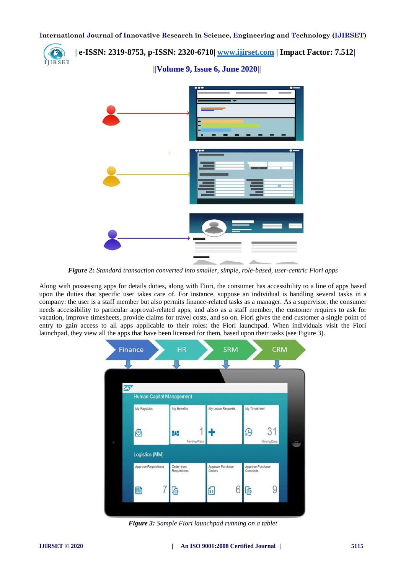**| e-ISSN: 2319-8753, p-ISSN: 2320-6710| [www.ijirset.com](http://www.ijirset.com/) | Impact Factor: 7.512|** IJIRSET  **||Volume 9, Issue 6, June 2020||** 

*Figure 2: Standard transaction converted into smaller, simple, role-based, user-centric Fiori apps*

Along with possessing apps for details duties, along with Fiori, the consumer has accessibility to a line of apps based upon the duties that specific user takes care of. For instance, suppose an individual is handling several tasks in a company: the user is a staff member but also permits finance-related tasks as a manager. As a supervisor, the consumer needs accessibility to particular approval-related apps; and also as a staff member, the customer requires to ask for vacation, improve timesheets, provide claims for travel costs, and so on. Fiori gives the end customer a single point of entry to gain access to all apps applicable to their roles: the Fiori launchpad. When individuals visit the Fiori launchpad, they view all the apps that have been licensed for them, based upon their tasks (see Figure 3).



*Figure 3: Sample Fiori launchpad running on a tablet*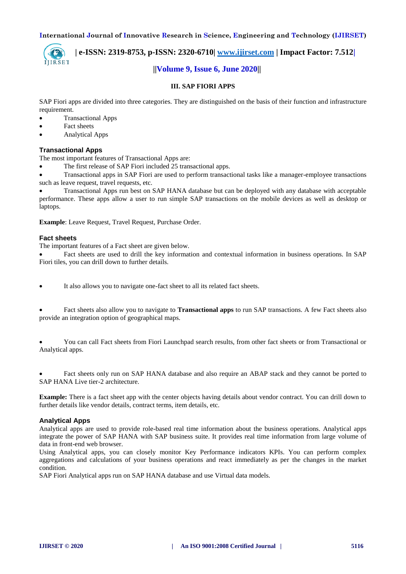

 **| e-ISSN: 2319-8753, p-ISSN: 2320-6710| [www.ijirset.com](http://www.ijirset.com/) | Impact Factor: 7.512| ||Volume 9, Issue 6, June 2020||** 

# **III. SAP FIORI APPS**

SAP Fiori apps are divided into three categories. They are distinguished on the basis of their function and infrastructure requirement.

- Transactional Apps
- Fact sheets
- Analytical Apps

### **Transactional Apps**

The most important features of Transactional Apps are:

The first release of SAP Fiori included 25 transactional apps.

 Transactional apps in SAP Fiori are used to perform transactional tasks like a manager-employee transactions such as leave request, travel requests, etc.

 Transactional Apps run best on SAP HANA database but can be deployed with any database with acceptable performance. These apps allow a user to run simple SAP transactions on the mobile devices as well as desktop or laptops.

**Example**: Leave Request, Travel Request, Purchase Order.

#### **Fact sheets**

The important features of a Fact sheet are given below.

 Fact sheets are used to drill the key information and contextual information in business operations. In SAP Fiori tiles, you can drill down to further details.

It also allows you to navigate one-fact sheet to all its related fact sheets.

 Fact sheets also allow you to navigate to **Transactional apps** to run SAP transactions. A few Fact sheets also provide an integration option of geographical maps.

 You can call Fact sheets from Fiori Launchpad search results, from other fact sheets or from Transactional or Analytical apps.

 Fact sheets only run on SAP HANA database and also require an ABAP stack and they cannot be ported to SAP HANA Live tier-2 architecture.

**Example:** There is a fact sheet app with the center objects having details about vendor contract. You can drill down to further details like vendor details, contract terms, item details, etc.

#### **Analytical Apps**

Analytical apps are used to provide role-based real time information about the business operations. Analytical apps integrate the power of SAP HANA with SAP business suite. It provides real time information from large volume of data in front-end web browser.

Using Analytical apps, you can closely monitor Key Performance indicators KPIs. You can perform complex aggregations and calculations of your business operations and react immediately as per the changes in the market condition.

SAP Fiori Analytical apps run on SAP HANA database and use Virtual data models.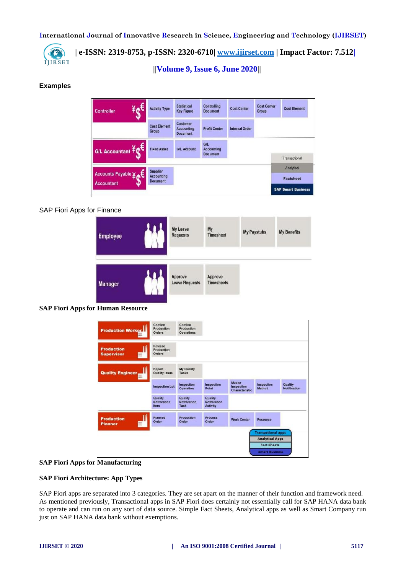

 **||Volume 9, Issue 6, June 2020||** 

# **Examples**

| $\mathbf{f}$<br><b>Controller</b> | <b>Activity Type</b>                                    | <b>Statistical</b><br><b>Key Figure</b>                 | <b>Controlling</b><br><b>Document</b>              | <b>Cost Center</b>    | <b>Cost Center</b><br><b>Group</b> | <b>Cost Element</b>            |
|-----------------------------------|---------------------------------------------------------|---------------------------------------------------------|----------------------------------------------------|-----------------------|------------------------------------|--------------------------------|
|                                   | <b>Cost Element</b><br><b>Group</b>                     | <b>Customer</b><br><b>Accounting</b><br><b>Document</b> | <b>Profit Center</b>                               | <b>Internal Order</b> |                                    |                                |
| G/L Accountant Fet                | <b>Fixed Asset</b>                                      | <b>G/L Account</b>                                      | <b>G/L</b><br><b>Accounting</b><br><b>Document</b> |                       |                                    | Transactional                  |
| Accounts Payable ¥c               | <b>Supplier</b><br><b>Accounting</b><br><b>Document</b> |                                                         |                                                    |                       |                                    | Analytical<br><b>Factsheet</b> |
| <b>Accountant</b>                 |                                                         |                                                         |                                                    |                       |                                    | <b>SAP Smart Business</b>      |

### SAP Fiori Apps for Finance



#### **SAP Fiori Apps for Human Resource**

|                                             |                                        |                                            |                                                   |                                                      | <b>Analytical Apps</b><br><b>Fact Sheets</b> |                                |
|---------------------------------------------|----------------------------------------|--------------------------------------------|---------------------------------------------------|------------------------------------------------------|----------------------------------------------|--------------------------------|
| <b>Production</b><br>冊<br><b>Planner</b>    | Planned<br>Order                       | Production<br>Order                        | <b>Process</b><br>Order                           | <b>Work Center</b>                                   | <b>Resource</b><br><b>Transactional apps</b> |                                |
|                                             | Quality<br><b>Notification</b><br>Item | Quality<br><b>Notification</b><br>Task     | Quality<br><b>Notification</b><br><b>Activity</b> |                                                      |                                              |                                |
|                                             | <b>Inspection Lot</b>                  | Inspection<br><b>Operation</b>             | Inspection<br>Point                               | <b>Master</b><br>Inspection<br><b>Characteristic</b> | Inspection<br><b>Method</b>                  | Quality<br><b>Notification</b> |
| <b>Quality Engineer,</b><br><b>Bill</b>     | Report<br><b>Quality Issue</b>         | <b>My Quality</b><br>Tasks                 |                                                   |                                                      |                                              |                                |
| <b>Production</b><br><b>Supervisor</b><br>開 | Release<br>Production<br>Orders        |                                            |                                                   |                                                      |                                              |                                |
| <b>Production Worker</b><br>HH              | Confirm<br>Production<br><b>Orders</b> | Confirm<br>Production<br><b>Operations</b> |                                                   |                                                      |                                              |                                |

#### **SAP Fiori Apps for Manufacturing**

#### **SAP Fiori Architecture: App Types**

SAP Fiori apps are separated into 3 categories. They are set apart on the manner of their function and framework need. As mentioned previously, Transactional apps in SAP Fiori does certainly not essentially call for SAP HANA data bank to operate and can run on any sort of data source. Simple Fact Sheets, Analytical apps as well as Smart Company run just on SAP HANA data bank without exemptions.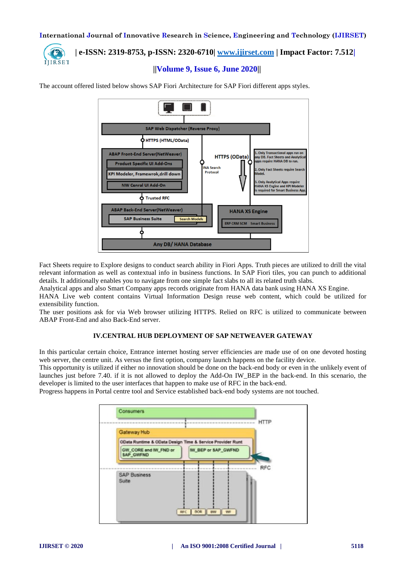

# **| e-ISSN: 2319-8753, p-ISSN: 2320-6710| [www.ijirset.com](http://www.ijirset.com/) | Impact Factor: 7.512|**

 **||Volume 9, Issue 6, June 2020||** 

The account offered listed below shows SAP Fiori Architecture for SAP Fiori different apps styles.



Fact Sheets require to Explore designs to conduct search ability in Fiori Apps. Truth pieces are utilized to drill the vital relevant information as well as contextual info in business functions. In SAP Fiori tiles, you can punch to additional details. It additionally enables you to navigate from one simple fact slabs to all its related truth slabs.

Analytical apps and also Smart Company apps records originate from HANA data bank using HANA XS Engine.

HANA Live web content contains Virtual Information Design reuse web content, which could be utilized for extensibility function.

The user positions ask for via Web browser utilizing HTTPS. Relied on RFC is utilized to communicate between ABAP Front-End and also Back-End server.

## **IV.CENTRAL HUB DEPLOYMENT OF SAP NETWEAVER GATEWAY**

In this particular certain choice, Entrance internet hosting server efficiencies are made use of on one devoted hosting web server, the centre unit. As versus the first option, company launch happens on the facility device.

This opportunity is utilized if either no innovation should be done on the back-end body or even in the unlikely event of launches just before 7.40. if it is not allowed to deploy the Add-On IW\_BEP in the back-end. In this scenario, the developer is limited to the user interfaces that happen to make use of RFC in the back-end.

Progress happens in Portal centre tool and Service established back-end body systems are not touched.

|                                                           |                     | <b>HTTP</b> |
|-----------------------------------------------------------|---------------------|-------------|
| Gateway Hub                                               |                     |             |
| OData Runtime & OData Design Time & Service Provider Runt |                     |             |
| GW_CORE and IW_FND or<br>SAP GWFND                        | IW_BEP or SAP_GWFND |             |
|                                                           |                     | <b>RFC</b>  |
| <b>SAP Business</b><br>Suite                              |                     |             |
|                                                           |                     |             |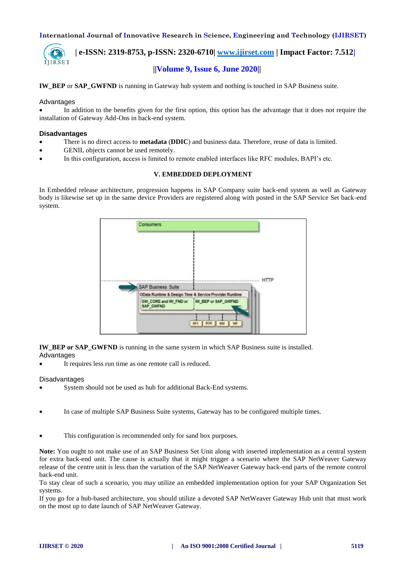

 **| e-ISSN: 2319-8753, p-ISSN: 2320-6710| [www.ijirset.com](http://www.ijirset.com/) | Impact Factor: 7.512| ||Volume 9, Issue 6, June 2020||** 

#### **IW\_BEP** or **SAP\_GWFND** is running in Gateway hub system and nothing is touched in SAP Business suite.

#### **Advantages**

 In addition to the benefits given for the first option, this option has the advantage that it does not require the installation of Gateway Add-Ons in back-end system.

#### **Disadvantages**

- There is no direct access to **metadata** (**DDIC**) and business data. Therefore, reuse of data is limited.
- GENIL objects cannot be used remotely.
- In this configuration, access is limited to remote enabled interfaces like RFC modules, BAPI's etc.

#### **V. EMBEDDED DEPLOYMENT**

In Embedded release architecture, progression happens in SAP Company suite back-end system as well as Gateway body is likewise set up in the same device Providers are registered along with posted in the SAP Service Set back-end system.

| <b>Consumers</b>                                       |                      |             |
|--------------------------------------------------------|----------------------|-------------|
|                                                        |                      |             |
| <b>SAP Business Suite</b>                              |                      | <b>HTTP</b> |
| OData Runtime & Design Time & Service Provider Runtime |                      |             |
| GW_CORE and IW_FND or<br>SAP_GWFND                     | IW_BEP or SAP_GWFND  |             |
|                                                        | RFC   BOR   BW   V/F |             |

**IW\_BEP or SAP\_GWFND** is running in the same system in which SAP Business suite is installed. Advantages

It requires less run time as one remote call is reduced.

#### Disadvantages

- System should not be used as hub for additional Back-End systems.
- In case of multiple SAP Business Suite systems, Gateway has to be configured multiple times.

This configuration is recommended only for sand box purposes.

**Note:** You ought to not make use of an SAP Business Set Unit along with inserted implementation as a central system for extra back-end unit. The cause is actually that it might trigger a scenario where the SAP NetWeaver Gateway release of the centre unit is less than the variation of the SAP NetWeaver Gateway back-end parts of the remote control back-end unit.

To stay clear of such a scenario, you may utilize an embedded implementation option for your SAP Organization Set systems.

If you go for a hub-based architecture, you should utilize a devoted SAP NetWeaver Gateway Hub unit that must work on the most up to date launch of SAP NetWeaver Gateway.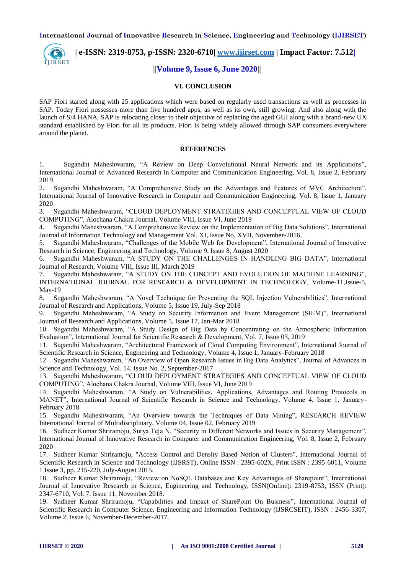

 **| e-ISSN: 2319-8753, p-ISSN: 2320-6710| [www.ijirset.com](http://www.ijirset.com/) | Impact Factor: 7.512|**

# **||Volume 9, Issue 6, June 2020||**

#### **VI. CONCLUSION**

SAP Fiori started along with 25 applications which were based on regularly used transactions as well as processes in SAP. Today Fiori possesses more than five hundred apps, as well as its own, still growing. And also along with the launch of S/4 HANA, SAP is relocating closer to their objective of replacing the aged GUI along with a brand-new UX standard established by Fiori for all its products. Fiori is being widely allowed through SAP consumers everywhere around the planet.

#### **REFERENCES**

1. Sugandhi Maheshwaram, "A Review on Deep Convolutional Neural Network and its Applications", International Journal of Advanced Research in Computer and Communication Engineering, Vol. 8, Issue 2, February 2019

2. Sugandhi Maheshwaram, "A Comprehensive Study on the Advantages and Features of MVC Architecture", International Journal of Innovative Research in Computer and Communication Engineering, Vol. 8, Issue 1, January 2020

3. Sugandhi Maheshwaram, "CLOUD DEPLOYMENT STRATEGIES AND CONCEPTUAL VIEW OF CLOUD COMPUTING", Alochana Chakra Journal, Volume VIII, Issue VI, June 2019

4. Sugandhi Maheshwaram, "A Comprehensive Review on the Implementation of Big Data Solutions", International Journal of Information Technology and Management Vol. XI, Issue No. XVII, November-2016,

5. Sugandhi Maheshwaram, "Challenges of the Mobile Web for Development", International Journal of Innovative Research in Science, Engineering and Technology, Volume 9, Issue 8, August 2020

6. Sugandhi Maheshwaram, "A STUDY ON THE CHALLENGES IN HANDLING BIG DATA", International Journal of Research, Volume VIII, Issue III, March 2019

7. Sugandhi Maheshwaram, "A STUDY ON THE CONCEPT AND EVOLUTION OF MACHINE LEARNING", INTERNATIONAL JOURNAL FOR RESEARCH & DEVELOPMENT IN TECHNOLOGY, Volume-11,Issue-5, May-19

8. Sugandhi Maheshwaram, "A Novel Technique for Preventing the SQL Injection Vulnerabilities", International Journal of Research and Applications, Volume 5, Issue 19, July-Sep 2018

9. Sugandhi Maheshwaram, "A Study on Security Information and Event Management (SIEM)", International Journal of Research and Applications, Volume 5, Issue 17, Jan-Mar 2018

10. Sugandhi Maheshwaram, "A Study Design of Big Data by Concentrating on the Atmospheric Information Evaluation", International Journal for Scientific Research & Development, Vol. 7, Issue 03, 2019

11. Sugandhi Maheshwaram, "Architectural Framework of Cloud Computing Environment", International Journal of Scientific Research in Science, Engineering and Technology, Volume 4, Issue 1, January-February 2018

12. Sugandhi Maheshwaram, "An Overview of Open Research Issues in Big Data Analytics", Journal of Advances in Science and Technology, Vol. 14, Issue No. 2, September-2017

13. Sugandhi Maheshwaram, "CLOUD DEPLOYMENT STRATEGIES AND CONCEPTUAL VIEW OF CLOUD COMPUTING", Alochana Chakra Journal, Volume VIII, Issue VI, June 2019

14. Sugandhi Maheshwaram, "A Study on Vulnerabilities, Applications, Advantages and Routing Protocols in MANET", International Journal of Scientific Research in Science and Technology, Volume 4, Issue 1, January-February 2018

15. Sugandhi Maheshwaram, "An Overview towards the Techniques of Data Mining", RESEARCH REVIEW International Journal of Multidisciplinary, Volume 04, Issue 02, February 2019

16. Sudheer Kumar Shriramoju, Surya Teja N, "Security in Different Networks and Issues in Security Management", International Journal of Innovative Research in Computer and Communication Engineering, Vol. 8, Issue 2, February 2020

17. Sudheer Kumar Shriramoju, "Access Control and Density Based Notion of Clusters", International Journal of Scientific Research in Science and Technology (IJSRST), Online ISSN : 2395-602X, Print ISSN : 2395-6011, Volume 1 Issue 3, pp. 215-220, July-August 2015.

18. Sudheer Kumar Shriramoju, "Review on NoSQL Databases and Key Advantages of Sharepoint", International Journal of Innovative Research in Science, Engineering and Technology, ISSN(Online): 2319-8753, ISSN (Print): 2347-6710, Vol. 7, Issue 11, November 2018.

19. Sudheer Kumar Shriramoju, "Capabilities and Impact of SharePoint On Business", International Journal of Scientific Research in Computer Science, Engineering and Information Technology (IJSRCSEIT), ISSN : 2456-3307, Volume 2, Issue 6, November-December-2017.